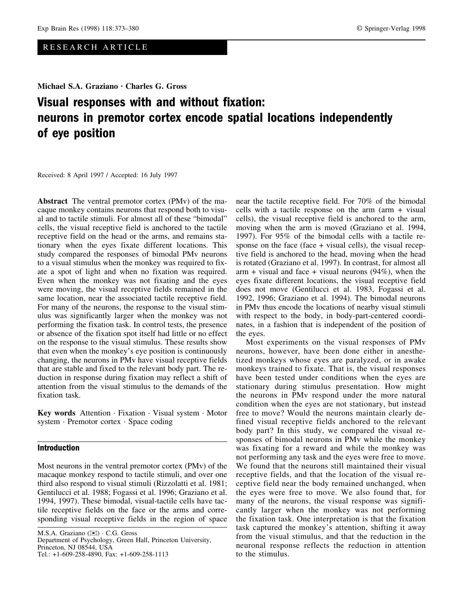# RESEARCH ARTICLE

Michael S.A. Graziano · Charles G. Gross

# Visual responses with and without fixation: neurons in premotor cortex encode spatial locations independently of eye position

Received: 8 April 1997 / Accepted: 16 July 1997

Abstract The ventral premotor cortex (PMv) of the macaque monkey contains neurons that respond both to visual and to tactile stimuli. For almost all of these "bimodal" cells, the visual receptive field is anchored to the tactile receptive field on the head or the arms, and remains stationary when the eyes fixate different locations. This study compared the responses of bimodal PMv neurons to a visual stimulus when the monkey was required to fixate a spot of light and when no fixation was required. Even when the monkey was not fixating and the eyes were moving, the visual receptive fields remained in the same location, near the associated tactile receptive field. For many of the neurons, the response to the visual stimulus was significantly larger when the monkey was not performing the fixation task. In control tests, the presence or absence of the fixation spot itself had little or no effect on the response to the visual stimulus. These results show that even when the monkey's eye position is continuously changing, the neurons in PMv have visual receptive fields that are stable and fixed to the relevant body part. The reduction in response during fixation may reflect a shift of attention from the visual stimulus to the demands of the fixation task.

**Key words** Attention  $\cdot$  Fixation  $\cdot$  Visual system  $\cdot$  Motor system  $\cdot$  Premotor cortex  $\cdot$  Space coding

# Introduction

Most neurons in the ventral premotor cortex (PMv) of the macaque monkey respond to tactile stimuli, and over one third also respond to visual stimuli (Rizzolatti et al. 1981; Gentilucci et al. 1988; Fogassi et al. 1996; Graziano et al. 1994, 1997). These bimodal, visual-tactile cells have tactile receptive fields on the face or the arms and corresponding visual receptive fields in the region of space

M.S.A. Graziano  $(\boxtimes) \cdot$  C.G. Gross Department of Psychology, Green Hall, Princeton University, Princeton, NJ 08544, USA

Tel.: +1-609-258-4890, Fax: +1-609-258-1113

near the tactile receptive field. For 70% of the bimodal cells with a tactile response on the arm  $(\text{arm} + \text{visual})$ cells), the visual receptive field is anchored to the arm, moving when the arm is moved (Graziano et al. 1994, 1997). For 95% of the bimodal cells with a tactile response on the face (face  $+$  visual cells), the visual receptive field is anchored to the head, moving when the head is rotated (Graziano et al. 1997). In contrast, for almost all arm + visual and face + visual neurons  $(94\%)$ , when the eyes fixate different locations, the visual receptive field does not move (Gentilucci et al. 1983, Fogassi et al. 1992, 1996; Graziano et al. 1994). The bimodal neurons in PMv thus encode the locations of nearby visual stimuli with respect to the body, in body-part-centered coordinates, in a fashion that is independent of the position of the eyes.

Most experiments on the visual responses of PMv neurons, however, have been done either in anesthetized monkeys whose eyes are paralyzed, or in awake monkeys trained to fixate. That is, the visual responses have been tested under conditions when the eyes are stationary during stimulus presentation. How might the neurons in PMv respond under the more natural condition when the eyes are not stationary, but instead free to move? Would the neurons maintain clearly defined visual receptive fields anchored to the relevant body part? In this study, we compared the visual responses of bimodal neurons in PMv while the monkey was fixating for a reward and while the monkey was not performing any task and the eyes were free to move. We found that the neurons still maintained their visual receptive fields, and that the location of the visual receptive field near the body remained unchanged, when the eyes were free to move. We also found that, for many of the neurons, the visual response was significantly larger when the monkey was not performing the fixation task. One interpretation is that the fixation task captured the monkey's attention, shifting it away from the visual stimulus, and that the reduction in the neuronal response reflects the reduction in attention to the stimulus.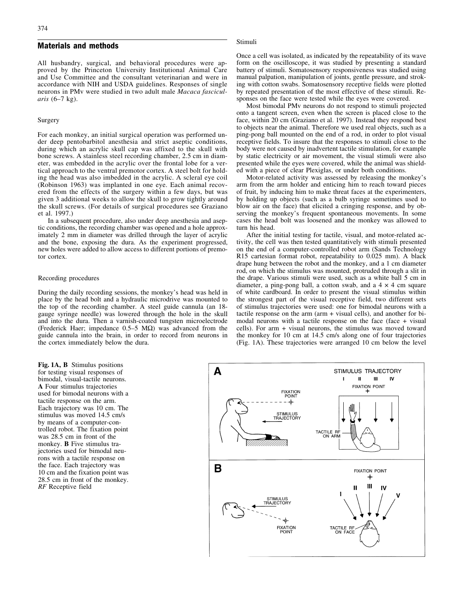## Materials and methods

All husbandry, surgical, and behavioral procedures were approved by the Princeton University Institutional Animal Care and Use Committee and the consultant veterinarian and were in accordance with NIH and USDA guidelines. Responses of single neurons in PMv were studied in two adult male Macaca fascicularis  $(6-7 \text{ kg})$ .

## Surgery

For each monkey, an initial surgical operation was performed under deep pentobarbitol anesthesia and strict aseptic conditions, during which an acrylic skull cap was affixed to the skull with bone screws. A stainless steel recording chamber, 2.5 cm in diameter, was embedded in the acrylic over the frontal lobe for a vertical approach to the ventral premotor cortex. A steel bolt for holding the head was also imbedded in the acrylic. A scleral eye coil (Robinson 1963) was implanted in one eye. Each animal recovered from the effects of the surgery within a few days, but was given 3 additional weeks to allow the skull to grow tightly around the skull screws. (For details of surgical procedures see Graziano et al. 1997.)

In a subsequent procedure, also under deep anesthesia and aseptic conditions, the recording chamber was opened and a hole approximately 2 mm in diameter was drilled through the layer of acrylic and the bone, exposing the dura. As the experiment progressed, new holes were added to allow access to different portions of premotor cortex.

#### Recording procedures

During the daily recording sessions, the monkey's head was held in place by the head bolt and a hydraulic microdrive was mounted to the top of the recording chamber. A steel guide cannula (an 18 gauge syringe needle) was lowered through the hole in the skull and into the dura. Then a varnish-coated tungsten microelectrode (Frederick Haer; impedance  $0.5-5$  M $\Omega$ ) was advanced from the guide cannula into the brain, in order to record from neurons in the cortex immediately below the dura.

Stimuli

Once a cell was isolated, as indicated by the repeatability of its wave form on the oscilloscope, it was studied by presenting a standard battery of stimuli. Somatosensory responsiveness was studied using manual palpation, manipulation of joints, gentle pressure, and stroking with cotton swabs. Somatosensory receptive fields were plotted by repeated presentation of the most effective of these stimuli. Responses on the face were tested while the eyes were covered.

Most bimodal PMv neurons do not respond to stimuli projected onto a tangent screen, even when the screen is placed close to the face, within 20 cm (Graziano et al. 1997). Instead they respond best to objects near the animal. Therefore we used real objects, such as a ping-pong ball mounted on the end of a rod, in order to plot visual receptive fields. To insure that the responses to stimuli close to the body were not caused by inadvertent tactile stimulation, for example by static electricity or air movement, the visual stimuli were also presented while the eyes were covered, while the animal was shielded with a piece of clear Plexiglas, or under both conditions.

Motor-related activity was assessed by releasing the monkey's arm from the arm holder and enticing him to reach toward pieces of fruit, by inducing him to make threat faces at the experimenters, by holding up objects (such as a bulb syringe sometimes used to blow air on the face) that elicited a cringing response, and by observing the monkey's frequent spontaneous movements. In some cases the head bolt was loosened and the monkey was allowed to turn his head.

After the initial testing for tactile, visual, and motor-related activity, the cell was then tested quantitatively with stimuli presented on the end of a computer-controlled robot arm (Sands Technology R15 cartesian format robot, repeatability to 0.025 mm). A black drape hung between the robot and the monkey, and a 1 cm diameter rod, on which the stimulus was mounted, protruded through a slit in the drape. Various stimuli were used, such as a white ball 5 cm in diameter, a ping-pong ball, a cotton swab, and a  $4 \times 4$  cm square of white cardboard. In order to present the visual stimulus within the strongest part of the visual receptive field, two different sets of stimulus trajectories were used: one for bimodal neurons with a tactile response on the arm (arm + visual cells), and another for bimodal neurons with a tactile response on the face (face + visual cells). For arm + visual neurons, the stimulus was moved toward the monkey for 10 cm at 14.5 cm/s along one of four trajectories (Fig. 1A). These trajectories were arranged 10 cm below the level

Fig. 1A, B Stimulus positions for testing visual responses of bimodal, visual-tactile neurons. A Four stimulus trajectories used for bimodal neurons with a tactile response on the arm. Each trajectory was 10 cm. The stimulus was moved 14.5 cm/s by means of a computer-controlled robot. The fixation point was 28.5 cm in front of the monkey. B Five stimulus trajectories used for bimodal neurons with a tactile response on the face. Each trajectory was 10 cm and the fixation point was 28.5 cm in front of the monkey. RF Receptive field

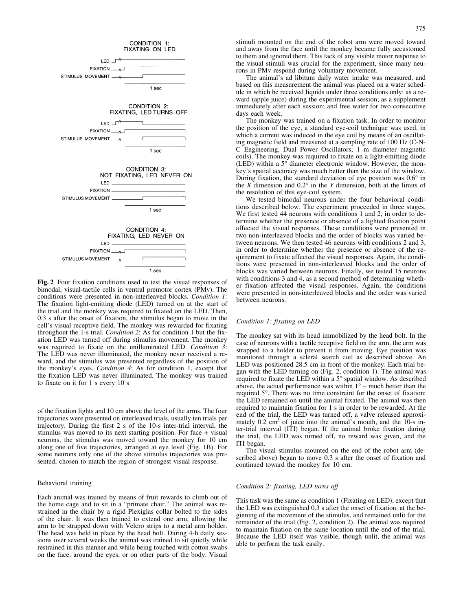

Fig. 2 Four fixation conditions used to test the visual responses of bimodal, visual-tactile cells in ventral premotor cortex (PMv). The conditions were presented in non-interleaved blocks. Condition 1: The fixation light-emitting diode (LED) turned on at the start of the trial and the monkey was required to fixated on the LED. Then, 0.3 s after the onset of fixation, the stimulus began to move in the cell's visual receptive field. The monkey was rewarded for fixating throughout the 1-s trial. Condition 2: As for condition 1 but the fixation LED was turned off during stimulus movement. The monkey was required to fixate on the unilluminated LED. Condition 3: The LED was never illuminated, the monkey never received a reward, and the stimulus was presented regardless of the position of the monkey's eyes. Condition 4: As for condition 1, except that the fixation LED was never illuminated. The monkey was trained to fixate on it for 1 s every 10 s

of the fixation lights and 10 cm above the level of the arms. The four trajectories were presented on interleaved trials, usually ten trials per trajectory. During the first 2 s of the 10-s inter-trial interval, the stimulus was moved to its next starting position. For face + visual neurons, the stimulus was moved toward the monkey for 10 cm along one of five trajectories, arranged at eye level (Fig. 1B). For some neurons only one of the above stimulus trajectories was presented, chosen to match the region of strongest visual response.

## Behavioral training

Each animal was trained by means of fruit rewards to climb out of the home cage and to sit in a "primate chair." The animal was restrained in the chair by a rigid Plexiglas collar bolted to the sides of the chair. It was then trained to extend one arm, allowing the arm to be strapped down with Velcro strips to a metal arm holder. The head was held in place by the head bolt. During 4-h daily sessions over several weeks the animal was trained to sit quietly while restrained in this manner and while being touched with cotton swabs on the face, around the eyes, or on other parts of the body. Visual

stimuli mounted on the end of the robot arm were moved toward and away from the face until the monkey became fully accustomed to them and ignored them. This lack of any visible motor response to the visual stimuli was crucial for the experiment, since many neurons in PMv respond during voluntary movement.

The animal's ad libitum daily water intake was measured, and based on this measurement the animal was placed on a water schedule in which he received liquids under three conditions only: as a reward (apple juice) during the experimental session; as a supplement immediately after each session; and free water for two consecutive days each week.

The monkey was trained on a fixation task. In order to monitor the position of the eye, a standard eye-coil technique was used, in which a current was induced in the eye coil by means of an oscillating magnetic field and measured at a sampling rate of 100 Hz (C-N-C Engineering, Dual Power Oscillators; 1 m diameter magnetic coils). The monkey was required to fixate on a light-emitting diode (LED) within a  $5^\circ$  diameter electronic window. However, the monkey's spatial accuracy was much better than the size of the window. During fixation, the standard deviation of eye position was  $0.6^\circ$  in the X dimension and  $0.2^{\circ}$  in the Y dimension, both at the limits of the resolution of this eye-coil system.

We tested bimodal neurons under the four behavioral conditions described below. The experiment proceeded in three stages. We first tested 44 neurons with conditions 1 and 2, in order to determine whether the presence or absence of a lighted fixation point affected the visual responses. These conditions were presented in two non-interleaved blocks and the order of blocks was varied between neurons. We then tested 46 neurons with conditions 2 and 3, in order to determine whether the presence or absence of the requirement to fixate affected the visual responses. Again, the conditions were presented in non-interleaved blocks and the order of blocks was varied between neurons. Finally, we tested 15 neurons with conditions 3 and 4, as a second method of determining whether fixation affected the visual responses. Again, the conditions were presented in non-interleaved blocks and the order was varied between neurons.

#### Condition 1: fixating on LED

The monkey sat with its head immobilized by the head bolt. In the case of neurons with a tactile receptive field on the arm, the arm was strapped to a holder to prevent it from moving. Eye position was monitored through a scleral search coil as described above. An LED was positioned 28.5 cm in front of the monkey. Each trial began with the LED turning on (Fig. 2, condition 1). The animal was required to fixate the LED within a  $5^\circ$  spatial window. As described above, the actual performance was within  $1^\circ$  – much better than the required 5°. There was no time constraint for the onset of fixation: the LED remained on until the animal fixated. The animal was then required to maintain fixation for 1 s in order to be rewarded. At the end of the trial, the LED was turned off, a valve released approximately  $0.2 \text{ cm}^3$  of juice into the animal's mouth, and the  $10\text{-s}$  inter-trial interval (ITI) began. If the animal broke fixation during the trial, the LED was turned off, no reward was given, and the ITI began.

The visual stimulus mounted on the end of the robot arm (described above) began to move 0.3 s after the onset of fixation and continued toward the monkey for 10 cm.

#### Condition 2: fixating, LED turns off

This task was the same as condition 1 (Fixating on LED), except that the LED was extinguished 0.3 s after the onset of fixation, at the beginning of the movement of the stimulus, and remained unlit for the remainder of the trial (Fig. 2, condition 2). The animal was required to maintain fixation on the same location until the end of the trial. Because the LED itself was visible, though unlit, the animal was able to perform the task easily.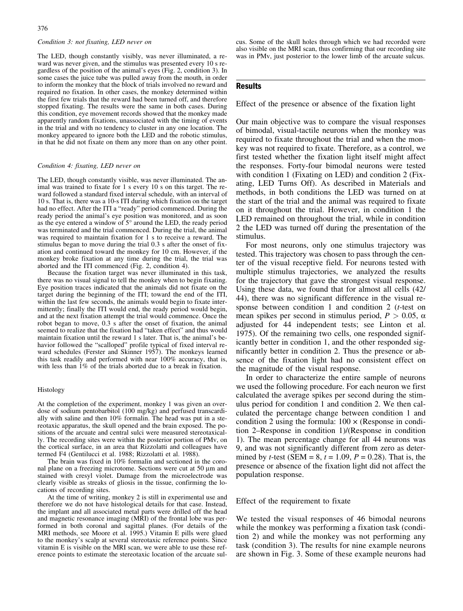#### Condition 3: not fixating, LED never on

The LED, though constantly visibly, was never illuminated, a reward was never given, and the stimulus was presented every 10 s regardless of the position of the animal's eyes (Fig. 2, condition 3). In some cases the juice tube was pulled away from the mouth, in order to inform the monkey that the block of trials involved no reward and required no fixation. In other cases, the monkey determined within the first few trials that the reward had been turned off, and therefore stopped fixating. The results were the same in both cases. During this condition, eye movement records showed that the monkey made apparently random fixations, unassociated with the timing of events in the trial and with no tendency to cluster in any one location. The monkey appeared to ignore both the LED and the robotic stimulus, in that he did not fixate on them any more than on any other point.

#### Condition 4: fixating, LED never on

The LED, though constantly visible, was never illuminated. The animal was trained to fixate for 1 s every 10 s on this target. The reward followed a standard fixed interval schedule, with an interval of 10 s. That is, there was a 10-s ITI during which fixation on the target had no effect. After the ITI a "ready" period commenced. During the ready period the animal's eye position was monitored, and as soon as the eye entered a window of  $5^{\circ}$  around the LED, the ready period was terminated and the trial commenced. During the trial, the animal was required to maintain fixation for 1 s to receive a reward. The stimulus began to move during the trial 0.3 s after the onset of fixation and continued toward the monkey for 10 cm. However, if the monkey broke fixation at any time during the trial, the trial was aborted and the ITI commenced (Fig. 2, condition 4).

Because the fixation target was never illuminated in this task, there was no visual signal to tell the monkey when to begin fixating. Eye position traces indicated that the animals did not fixate on the target during the beginning of the ITI; toward the end of the ITI, within the last few seconds, the animals would begin to fixate intermittently; finally the ITI would end, the ready period would begin, and at the next fixation attempt the trial would commence. Once the robot began to move, 0.3 s after the onset of fixation, the animal seemed to realize that the fixation had "taken effect" and thus would maintain fixation until the reward  $1$  s later. That is, the animal's behavior followed the "scalloped" profile typical of fixed interval reward schedules (Ferster and Skinner 1957). The monkeys learned this task readily and performed with near 100% accuracy, that is, with less than 1% of the trials aborted due to a break in fixation.

#### Histology

At the completion of the experiment, monkey 1 was given an overdose of sodium pentobarbitol (100 mg/kg) and perfused transcardially with saline and then 10% formalin. The head was put in a stereotaxic apparatus, the skull opened and the brain exposed. The positions of the arcuate and central sulci were measured stereotaxically. The recording sites were within the posterior portion of PMv, on the cortical surface, in an area that Rizzolatti and colleagues have termed F4 (Gentilucci et al. 1988; Rizzolatti et al. 1988).

The brain was fixed in 10% formalin and sectioned in the coronal plane on a freezing microtome. Sections were cut at  $50 \mu m$  and stained with cresyl violet. Damage from the microelectrode was clearly visible as streaks of gliosis in the tissue, confirming the locations of recording sites.

At the time of writing, monkey 2 is still in experimental use and therefore we do not have histological details for that case. Instead, the implant and all associated metal parts were drilled off the head and magnetic resonance imaging (MRI) of the frontal lobe was performed in both coronal and sagittal planes. (For details of the MRI methods, see Moore et al. 1995.) Vitamin E pills were glued to the monkey's scalp at several stereotaxic reference points. Since vitamin E is visible on the MRI scan, we were able to use these reference points to estimate the stereotaxic location of the arcuate sul-

cus. Some of the skull holes through which we had recorded were also visible on the MRI scan, thus confirming that our recording site was in PMv, just posterior to the lower limb of the arcuate sulcus.

#### Results

Effect of the presence or absence of the fixation light

Our main objective was to compare the visual responses of bimodal, visual-tactile neurons when the monkey was required to fixate throughout the trial and when the monkey was not required to fixate. Therefore, as a control, we first tested whether the fixation light itself might affect the responses. Forty-four bimodal neurons were tested with condition 1 (Fixating on LED) and condition 2 (Fixating, LED Turns Off). As described in Materials and methods, in both conditions the LED was turned on at the start of the trial and the animal was required to fixate on it throughout the trial. However, in condition 1 the LED remained on throughout the trial, while in condition 2 the LED was turned off during the presentation of the stimulus.

For most neurons, only one stimulus trajectory was tested. This trajectory was chosen to pass through the center of the visual receptive field. For neurons tested with multiple stimulus trajectories, we analyzed the results for the trajectory that gave the strongest visual response. Using these data, we found that for almost all cells (42/ 44), there was no significant difference in the visual response between condition 1 and condition 2 (t-test on mean spikes per second in stimulus period,  $P > 0.05$ ,  $\alpha$ adjusted for 44 independent tests; see Linton et al. 1975). Of the remaining two cells, one responded significantly better in condition 1, and the other responded significantly better in condition 2. Thus the presence or absence of the fixation light had no consistent effect on the magnitude of the visual response.

In order to characterize the entire sample of neurons we used the following procedure. For each neuron we first calculated the average spikes per second during the stimulus period for condition 1 and condition 2. We then calculated the percentage change between condition 1 and condition 2 using the formula:  $100 \times$  (Response in condition 2–Response in condition 1)/(Response in condition 1). The mean percentage change for all 44 neurons was 9, and was not significantly different from zero as determined by *t*-test (SEM = 8,  $t = 1.09$ ,  $P = 0.28$ ). That is, the presence or absence of the fixation light did not affect the population response.

# Effect of the requirement to fixate

We tested the visual responses of 46 bimodal neurons while the monkey was performing a fixation task (condition 2) and while the monkey was not performing any task (condition 3). The results for nine example neurons are shown in Fig. 3. Some of these example neurons had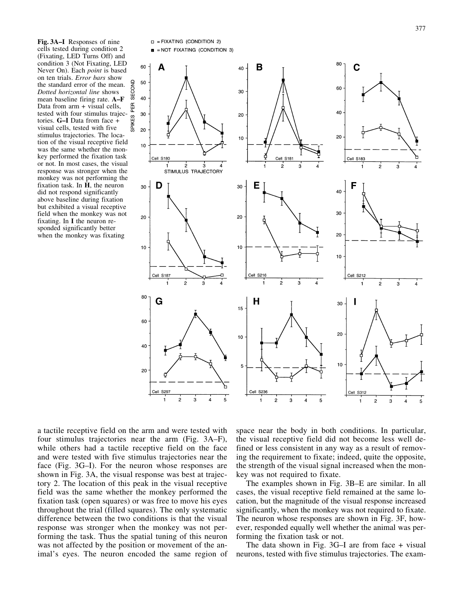Fig. 3A-I Responses of nine cells tested during condition 2 (Fixating, LED Turns Off) and condition 3 (Not Fixating, LED Never On). Each point is based on ten trials. Error bars show the standard error of the mean. Dotted horizontal line shows mean baseline firing rate. A-F Data from arm + visual cells, tested with four stimulus trajectories. G-I Data from face + visual cells, tested with five stimulus trajectories. The location of the visual receptive field was the same whether the monkey performed the fixation task or not. In most cases, the visual response was stronger when the monkey was not performing the fixation task. In  $\dot{\mathbf{H}}$ , the neuron did not respond significantly above baseline during fixation but exhibited a visual receptive field when the monkey was not fixating. In I the neuron responded significantly better when the monkey was fixating



a tactile receptive field on the arm and were tested with four stimulus trajectories near the arm (Fig. 3A–F), while others had a tactile receptive field on the face and were tested with five stimulus trajectories near the face (Fig. 3G-I). For the neuron whose responses are shown in Fig. 3A, the visual response was best at trajectory 2. The location of this peak in the visual receptive field was the same whether the monkey performed the fixation task (open squares) or was free to move his eyes throughout the trial (filled squares). The only systematic difference between the two conditions is that the visual response was stronger when the monkey was not performing the task. Thus the spatial tuning of this neuron was not affected by the position or movement of the animal's eyes. The neuron encoded the same region of space near the body in both conditions. In particular, the visual receptive field did not become less well defined or less consistent in any way as a result of removing the requirement to fixate; indeed, quite the opposite, the strength of the visual signal increased when the monkey was not required to fixate.

The examples shown in Fig. 3B-E are similar. In all cases, the visual receptive field remained at the same location, but the magnitude of the visual response increased significantly, when the monkey was not required to fixate. The neuron whose responses are shown in Fig. 3F, however, responded equally well whether the animal was performing the fixation task or not.

The data shown in Fig. 3G $-$ I are from face  $+$  visual neurons, tested with five stimulus trajectories. The exam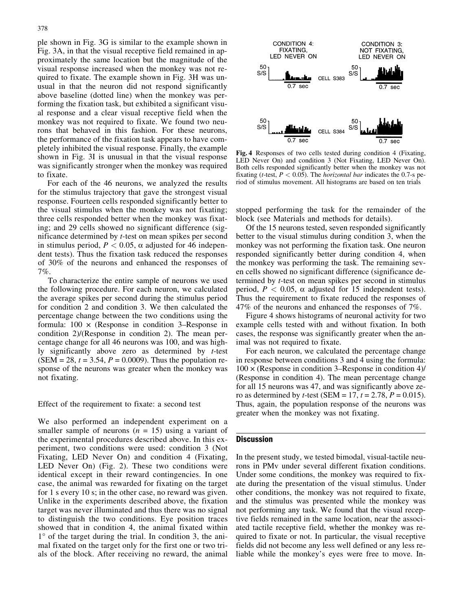ple shown in Fig. 3G is similar to the example shown in Fig. 3A, in that the visual receptive field remained in approximately the same location but the magnitude of the visual response increased when the monkey was not required to fixate. The example shown in Fig. 3H was unusual in that the neuron did not respond significantly above baseline (dotted line) when the monkey was performing the fixation task, but exhibited a significant visual response and a clear visual receptive field when the monkey was not required to fixate. We found two neurons that behaved in this fashion. For these neurons, the performance of the fixation task appears to have completely inhibited the visual response. Finally, the example shown in Fig. 3I is unusual in that the visual response was significantly stronger when the monkey was required to fixate.

For each of the 46 neurons, we analyzed the results for the stimulus trajectory that gave the strongest visual response. Fourteen cells responded significantly better to the visual stimulus when the monkey was not fixating; three cells responded better when the monkey was fixating; and 29 cells showed no significant difference (significance determined by t-test on mean spikes per second in stimulus period,  $P < 0.05$ ,  $\alpha$  adjusted for 46 independent tests). Thus the fixation task reduced the responses of 30% of the neurons and enhanced the responses of 7%.

To characterize the entire sample of neurons we used the following procedure. For each neuron, we calculated the average spikes per second during the stimulus period for condition 2 and condition 3. We then calculated the percentage change between the two conditions using the formula:  $100 \times$  (Response in condition 3–Response in condition 2)/(Response in condition 2). The mean percentage change for all 46 neurons was 100, and was highly significantly above zero as determined by t-test (SEM = 28,  $t = 3.54$ ,  $P = 0.0009$ ). Thus the population response of the neurons was greater when the monkey was not fixating.

Effect of the requirement to fixate: a second test

We also performed an independent experiment on a smaller sample of neurons  $(n = 15)$  using a variant of the experimental procedures described above. In this experiment, two conditions were used: condition 3 (Not Fixating, LED Never On) and condition 4 (Fixating, LED Never On) (Fig. 2). These two conditions were identical except in their reward contingencies. In one case, the animal was rewarded for fixating on the target for 1 s every 10 s; in the other case, no reward was given. Unlike in the experiments described above, the fixation target was never illuminated and thus there was no signal to distinguish the two conditions. Eye position traces showed that in condition 4, the animal fixated within  $1^{\circ}$  of the target during the trial. In condition 3, the animal fixated on the target only for the first one or two trials of the block. After receiving no reward, the animal



Fig. 4 Responses of two cells tested during condition 4 (Fixating, LED Never On) and condition 3 (Not Fixating, LED Never On). Both cells responded significantly better when the monkey was not fixating (*t*-test,  $P < 0.05$ ). The *horizontal bar* indicates the 0.7-s period of stimulus movement. All histograms are based on ten trials

stopped performing the task for the remainder of the block (see Materials and methods for details).

Of the 15 neurons tested, seven responded significantly better to the visual stimulus during condition 3, when the monkey was not performing the fixation task. One neuron responded significantly better during condition 4, when the monkey was performing the task. The remaining seven cells showed no significant difference (significance determined by t-test on mean spikes per second in stimulus period,  $P < 0.05$ ,  $\alpha$  adjusted for 15 independent tests). Thus the requirement to fixate reduced the responses of 47% of the neurons and enhanced the responses of 7%.

Figure 4 shows histograms of neuronal activity for two example cells tested with and without fixation. In both cases, the response was significantly greater when the animal was not required to fixate.

For each neuron, we calculated the percentage change in response between conditions 3 and 4 using the formula:  $100 \times$  (Response in condition 3–Response in condition 4)/ (Response in condition 4). The mean percentage change for all 15 neurons was 47, and was significantly above zero as determined by *t*-test (SEM = 17,  $t = 2.78$ ,  $P = 0.015$ ). Thus, again, the population response of the neurons was greater when the monkey was not fixating.

# **Discussion**

In the present study, we tested bimodal, visual-tactile neurons in PMv under several different fixation conditions. Under some conditions, the monkey was required to fixate during the presentation of the visual stimulus. Under other conditions, the monkey was not required to fixate, and the stimulus was presented while the monkey was not performing any task. We found that the visual receptive fields remained in the same location, near the associated tactile receptive field, whether the monkey was required to fixate or not. In particular, the visual receptive fields did not become any less well defined or any less reliable while the monkey's eyes were free to move. In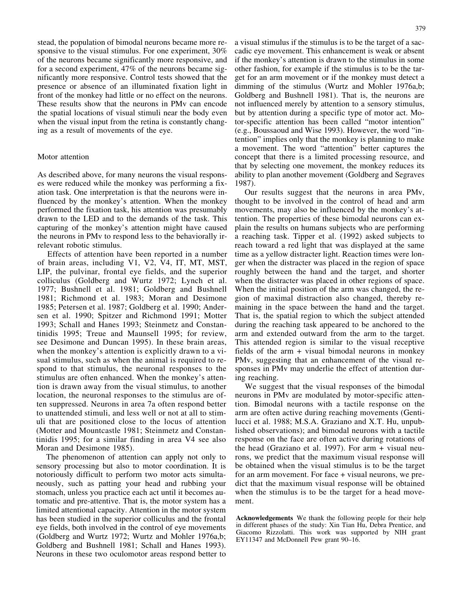stead, the population of bimodal neurons became more responsive to the visual stimulus. For one experiment, 30% of the neurons became significantly more responsive, and for a second experiment, 47% of the neurons became significantly more responsive. Control tests showed that the presence or absence of an illuminated fixation light in front of the monkey had little or no effect on the neurons. These results show that the neurons in PMv can encode the spatial locations of visual stimuli near the body even when the visual input from the retina is constantly changing as a result of movements of the eye.

# Motor attention

As described above, for many neurons the visual responses were reduced while the monkey was performing a fixation task. One interpretation is that the neurons were influenced by the monkey's attention. When the monkey performed the fixation task, his attention was presumably drawn to the LED and to the demands of the task. This capturing of the monkey's attention might have caused the neurons in PMv to respond less to the behaviorally irrelevant robotic stimulus.

Effects of attention have been reported in a number of brain areas, including V1, V2, V4, IT, MT, MST, LIP, the pulvinar, frontal eye fields, and the superior colliculus (Goldberg and Wurtz 1972; Lynch et al. 1977; Bushnell et al. 1981; Goldberg and Bushnell 1981; Richmond et al. 1983; Moran and Desimone 1985; Petersen et al. 1987; Goldberg et al. 1990; Andersen et al. 1990; Spitzer and Richmond 1991; Motter 1993; Schall and Hanes 1993; Steinmetz and Constantinidis 1995; Treue and Maunsell 1995; for review, see Desimone and Duncan 1995). In these brain areas, when the monkey's attention is explicitly drawn to a visual stimulus, such as when the animal is required to respond to that stimulus, the neuronal responses to the stimulus are often enhanced. When the monkey's attention is drawn away from the visual stimulus, to another location, the neuronal responses to the stimulus are often suppressed. Neurons in area 7a often respond better to unattended stimuli, and less well or not at all to stimuli that are positioned close to the locus of attention (Motter and Mountcastle 1981; Steinmetz and Constantinidis 1995; for a similar finding in area V4 see also Moran and Desimone 1985).

The phenomenon of attention can apply not only to sensory processing but also to motor coordination. It is notoriously difficult to perform two motor acts simultaneously, such as patting your head and rubbing your stomach, unless you practice each act until it becomes automatic and pre-attentive. That is, the motor system has a limited attentional capacity. Attention in the motor system has been studied in the superior colliculus and the frontal eye fields, both involved in the control of eye movements (Goldberg and Wurtz 1972; Wurtz and Mohler 1976a,b; Goldberg and Bushnell 1981; Schall and Hanes 1993). Neurons in these two oculomotor areas respond better to 379

a visual stimulus if the stimulus is to be the target of a saccadic eye movement. This enhancement is weak or absent if the monkey's attention is drawn to the stimulus in some other fashion, for example if the stimulus is to be the target for an arm movement or if the monkey must detect a dimming of the stimulus (Wurtz and Mohler 1976a,b; Goldberg and Bushnell 1981). That is, the neurons are not influenced merely by attention to a sensory stimulus, but by attention during a specific type of motor act. Motor-specific attention has been called "motor intention" (e.g., Boussaoud and Wise 1993). However, the word "intentionº implies only that the monkey is planning to make a movement. The word "attention" better captures the concept that there is a limited processing resource, and that by selecting one movement, the monkey reduces its ability to plan another movement (Goldberg and Segraves 1987).

Our results suggest that the neurons in area PMv, thought to be involved in the control of head and arm movements, may also be influenced by the monkey's attention. The properties of these bimodal neurons can explain the results on humans subjects who are performing a reaching task. Tipper et al. (1992) asked subjects to reach toward a red light that was displayed at the same time as a yellow distracter light. Reaction times were longer when the distracter was placed in the region of space roughly between the hand and the target, and shorter when the distracter was placed in other regions of space. When the initial position of the arm was changed, the region of maximal distraction also changed, thereby remaining in the space between the hand and the target. That is, the spatial region to which the subject attended during the reaching task appeared to be anchored to the arm and extended outward from the arm to the target. This attended region is similar to the visual receptive fields of the arm + visual bimodal neurons in monkey PMv, suggesting that an enhancement of the visual responses in PMv may underlie the effect of attention during reaching.

We suggest that the visual responses of the bimodal neurons in PMv are modulated by motor-specific attention. Bimodal neurons with a tactile response on the arm are often active during reaching movements (Gentilucci et al. 1988; M.S.A. Graziano and X.T. Hu, unpublished observations); and bimodal neurons with a tactile response on the face are often active during rotations of the head (Graziano et al. 1997). For arm + visual neurons, we predict that the maximum visual response will be obtained when the visual stimulus is to be the target for an arm movement. For face + visual neurons, we predict that the maximum visual response will be obtained when the stimulus is to be the target for a head movement.

Acknowledgements We thank the following people for their help in different phases of the study: Xin Tian Hu, Debra Prentice, and Giacomo Rizzolatti. This work was supported by NIH grant EY11347 and McDonnell Pew grant  $90-16$ .